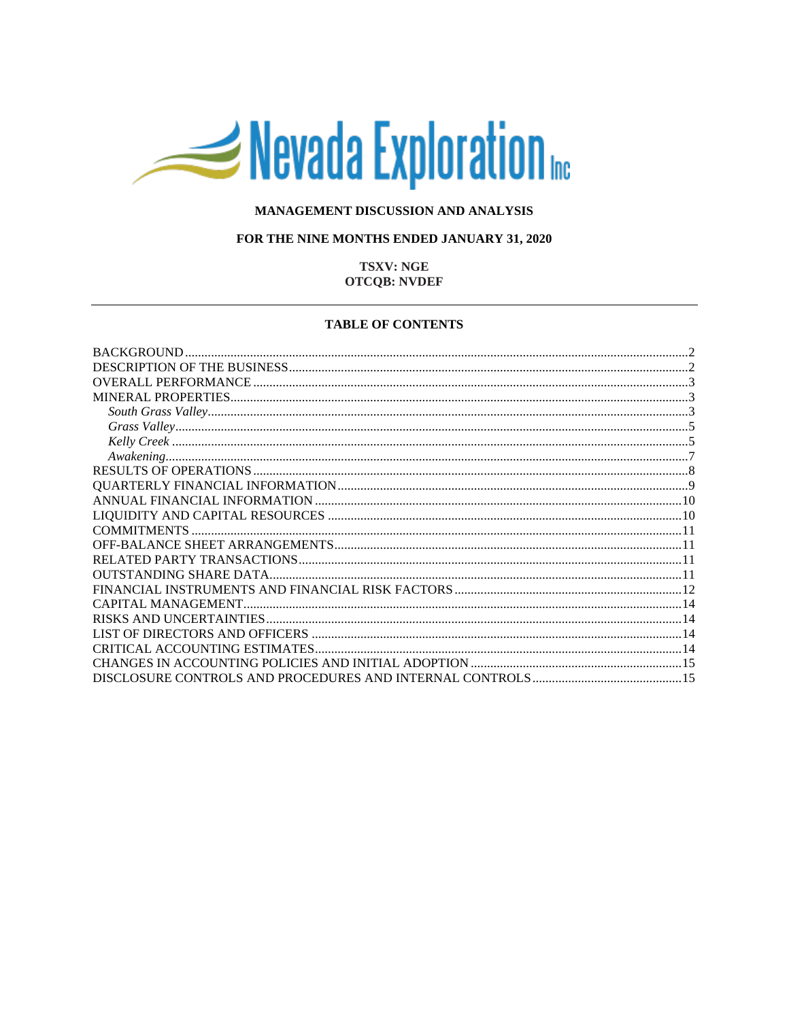# Nevada Exploration

## MANAGEMENT DISCUSSION AND ANALYSIS

## FOR THE NINE MONTHS ENDED JANUARY 31, 2020

# **TSXV: NGE OTCOB: NVDEF**

## **TABLE OF CONTENTS**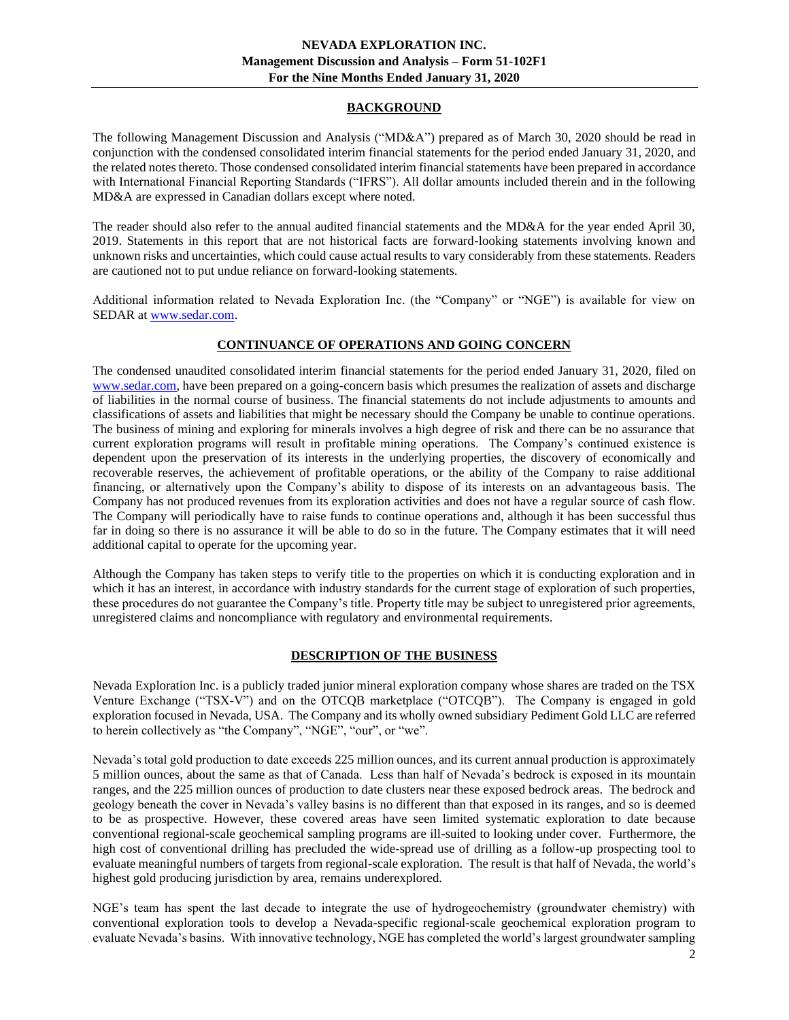## **BACKGROUND**

<span id="page-1-0"></span>The following Management Discussion and Analysis ("MD&A") prepared as of March 30, 2020 should be read in conjunction with the condensed consolidated interim financial statements for the period ended January 31, 2020, and the related notes thereto. Those condensed consolidated interim financial statements have been prepared in accordance with International Financial Reporting Standards ("IFRS"). All dollar amounts included therein and in the following MD&A are expressed in Canadian dollars except where noted.

The reader should also refer to the annual audited financial statements and the MD&A for the year ended April 30, 2019. Statements in this report that are not historical facts are forward-looking statements involving known and unknown risks and uncertainties, which could cause actual results to vary considerably from these statements. Readers are cautioned not to put undue reliance on forward-looking statements.

Additional information related to Nevada Exploration Inc. (the "Company" or "NGE") is available for view on SEDAR at [www.sedar.com.](http://www.sedar.com/)

## **CONTINUANCE OF OPERATIONS AND GOING CONCERN**

The condensed unaudited consolidated interim financial statements for the period ended January 31, 2020, filed on [www.sedar.com,](http://www.sedar.com/) have been prepared on a going-concern basis which presumes the realization of assets and discharge of liabilities in the normal course of business. The financial statements do not include adjustments to amounts and classifications of assets and liabilities that might be necessary should the Company be unable to continue operations. The business of mining and exploring for minerals involves a high degree of risk and there can be no assurance that current exploration programs will result in profitable mining operations. The Company's continued existence is dependent upon the preservation of its interests in the underlying properties, the discovery of economically and recoverable reserves, the achievement of profitable operations, or the ability of the Company to raise additional financing, or alternatively upon the Company's ability to dispose of its interests on an advantageous basis. The Company has not produced revenues from its exploration activities and does not have a regular source of cash flow. The Company will periodically have to raise funds to continue operations and, although it has been successful thus far in doing so there is no assurance it will be able to do so in the future. The Company estimates that it will need additional capital to operate for the upcoming year.

Although the Company has taken steps to verify title to the properties on which it is conducting exploration and in which it has an interest, in accordance with industry standards for the current stage of exploration of such properties, these procedures do not guarantee the Company's title. Property title may be subject to unregistered prior agreements, unregistered claims and noncompliance with regulatory and environmental requirements.

## **DESCRIPTION OF THE BUSINESS**

<span id="page-1-1"></span>Nevada Exploration Inc. is a publicly traded junior mineral exploration company whose shares are traded on the TSX Venture Exchange ("TSX-V") and on the OTCQB marketplace ("OTCQB"). The Company is engaged in gold exploration focused in Nevada, USA. The Company and its wholly owned subsidiary Pediment Gold LLC are referred to herein collectively as "the Company", "NGE", "our", or "we".

Nevada's total gold production to date exceeds 225 million ounces, and its current annual production is approximately 5 million ounces, about the same as that of Canada. Less than half of Nevada's bedrock is exposed in its mountain ranges, and the 225 million ounces of production to date clusters near these exposed bedrock areas. The bedrock and geology beneath the cover in Nevada's valley basins is no different than that exposed in its ranges, and so is deemed to be as prospective. However, these covered areas have seen limited systematic exploration to date because conventional regional-scale geochemical sampling programs are ill-suited to looking under cover. Furthermore, the high cost of conventional drilling has precluded the wide-spread use of drilling as a follow-up prospecting tool to evaluate meaningful numbers of targets from regional-scale exploration. The result is that half of Nevada, the world's highest gold producing jurisdiction by area, remains underexplored.

NGE's team has spent the last decade to integrate the use of hydrogeochemistry (groundwater chemistry) with conventional exploration tools to develop a Nevada-specific regional-scale geochemical exploration program to evaluate Nevada's basins. With innovative technology, NGE has completed the world's largest groundwater sampling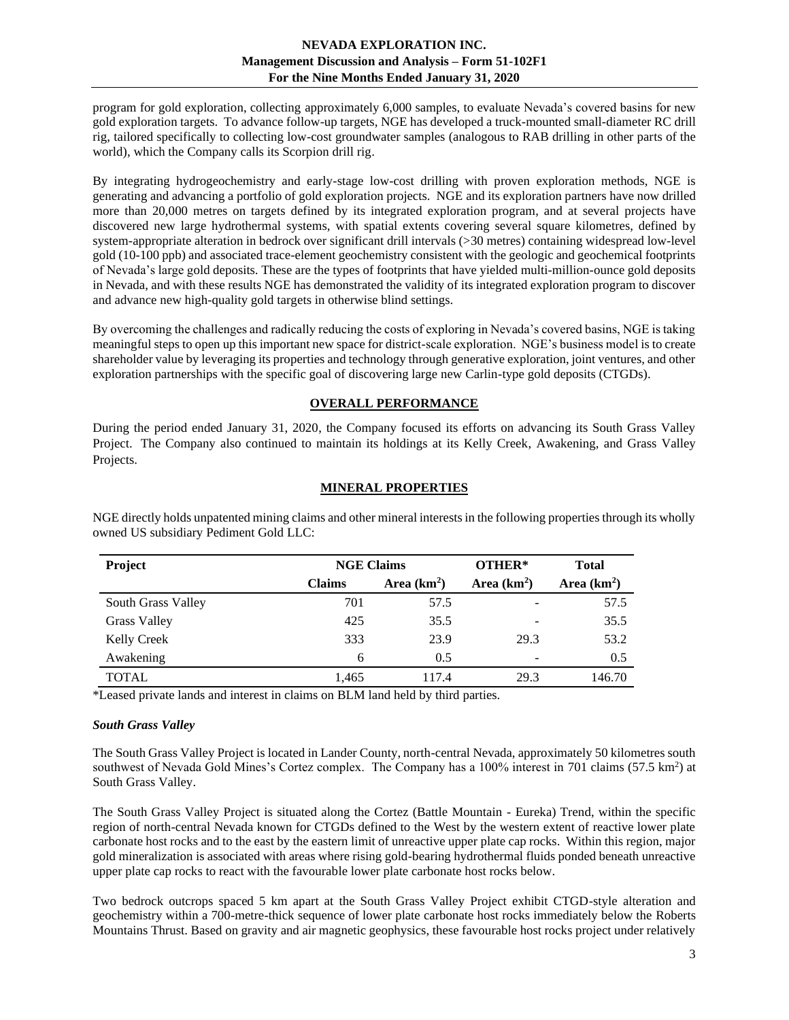program for gold exploration, collecting approximately 6,000 samples, to evaluate Nevada's covered basins for new gold exploration targets. To advance follow-up targets, NGE has developed a truck-mounted small-diameter RC drill rig, tailored specifically to collecting low-cost groundwater samples (analogous to RAB drilling in other parts of the world), which the Company calls its Scorpion drill rig.

By integrating hydrogeochemistry and early-stage low-cost drilling with proven exploration methods, NGE is generating and advancing a portfolio of gold exploration projects. NGE and its exploration partners have now drilled more than 20,000 metres on targets defined by its integrated exploration program, and at several projects have discovered new large hydrothermal systems, with spatial extents covering several square kilometres, defined by system-appropriate alteration in bedrock over significant drill intervals (>30 metres) containing widespread low-level gold (10-100 ppb) and associated trace-element geochemistry consistent with the geologic and geochemical footprints of Nevada's large gold deposits. These are the types of footprints that have yielded multi-million-ounce gold deposits in Nevada, and with these results NGE has demonstrated the validity of its integrated exploration program to discover and advance new high-quality gold targets in otherwise blind settings.

By overcoming the challenges and radically reducing the costs of exploring in Nevada's covered basins, NGE is taking meaningful steps to open up this important new space for district-scale exploration. NGE's business model is to create shareholder value by leveraging its properties and technology through generative exploration, joint ventures, and other exploration partnerships with the specific goal of discovering large new Carlin-type gold deposits (CTGDs).

# **OVERALL PERFORMANCE**

<span id="page-2-0"></span>During the period ended January 31, 2020, the Company focused its efforts on advancing its South Grass Valley Project. The Company also continued to maintain its holdings at its Kelly Creek, Awakening, and Grass Valley Projects.

# **MINERAL PROPERTIES**

| Project             |               | <b>NGE Claims</b> |              | <b>Total</b>  |
|---------------------|---------------|-------------------|--------------|---------------|
|                     | <b>Claims</b> | Area $(km2)$      | Area $(km2)$ | Area $(km2)$  |
| South Grass Valley  | 701           | 57.5              |              | 57.5          |
| <b>Grass Valley</b> | 425           | 35.5              |              | 35.5          |
| Kelly Creek         | 333           | 23.9              | 29.3         | 53.2          |
| Awakening           | 6             | 0.5               |              | $0.5^{\circ}$ |
| <b>TOTAL</b>        | 1,465         | 117.4             | 29.3         | 146.70        |

<span id="page-2-1"></span>NGE directly holds unpatented mining claims and other mineral interests in the following properties through its wholly owned US subsidiary Pediment Gold LLC:

\*Leased private lands and interest in claims on BLM land held by third parties.

## <span id="page-2-2"></span>*South Grass Valley*

The South Grass Valley Project is located in Lander County, north-central Nevada, approximately 50 kilometres south southwest of Nevada Gold Mines's Cortez complex. The Company has a 100% interest in 701 claims (57.5 km<sup>2</sup>) at South Grass Valley.

The South Grass Valley Project is situated along the Cortez (Battle Mountain - Eureka) Trend, within the specific region of north-central Nevada known for CTGDs defined to the West by the western extent of reactive lower plate carbonate host rocks and to the east by the eastern limit of unreactive upper plate cap rocks. Within this region, major gold mineralization is associated with areas where rising gold-bearing hydrothermal fluids ponded beneath unreactive upper plate cap rocks to react with the favourable lower plate carbonate host rocks below.

Two bedrock outcrops spaced 5 km apart at the South Grass Valley Project exhibit CTGD-style alteration and geochemistry within a 700-metre-thick sequence of lower plate carbonate host rocks immediately below the Roberts Mountains Thrust. Based on gravity and air magnetic geophysics, these favourable host rocks project under relatively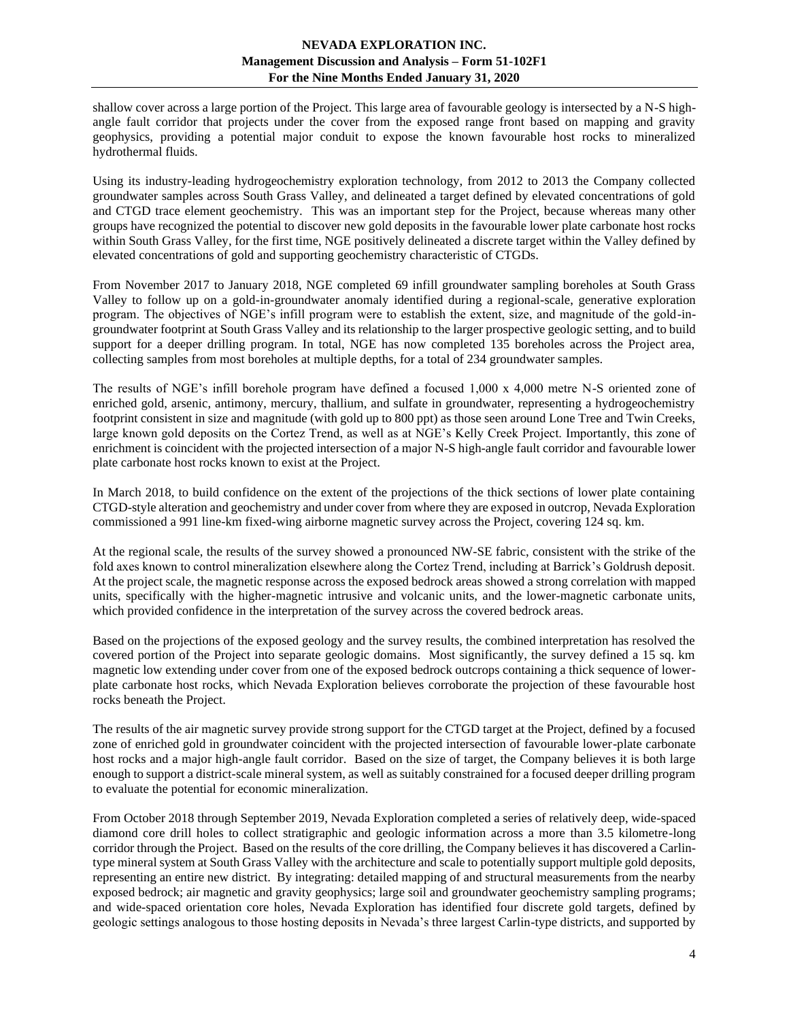shallow cover across a large portion of the Project. This large area of favourable geology is intersected by a N-S highangle fault corridor that projects under the cover from the exposed range front based on mapping and gravity geophysics, providing a potential major conduit to expose the known favourable host rocks to mineralized hydrothermal fluids.

Using its industry-leading hydrogeochemistry exploration technology, from 2012 to 2013 the Company collected groundwater samples across South Grass Valley, and delineated a target defined by elevated concentrations of gold and CTGD trace element geochemistry. This was an important step for the Project, because whereas many other groups have recognized the potential to discover new gold deposits in the favourable lower plate carbonate host rocks within South Grass Valley, for the first time, NGE positively delineated a discrete target within the Valley defined by elevated concentrations of gold and supporting geochemistry characteristic of CTGDs.

From November 2017 to January 2018, NGE completed 69 infill groundwater sampling boreholes at South Grass Valley to follow up on a gold-in-groundwater anomaly identified during a regional-scale, generative exploration program. The objectives of NGE's infill program were to establish the extent, size, and magnitude of the gold-ingroundwater footprint at South Grass Valley and its relationship to the larger prospective geologic setting, and to build support for a deeper drilling program. In total, NGE has now completed 135 boreholes across the Project area, collecting samples from most boreholes at multiple depths, for a total of 234 groundwater samples.

The results of NGE's infill borehole program have defined a focused 1,000 x 4,000 metre N-S oriented zone of enriched gold, arsenic, antimony, mercury, thallium, and sulfate in groundwater, representing a hydrogeochemistry footprint consistent in size and magnitude (with gold up to 800 ppt) as those seen around Lone Tree and Twin Creeks, large known gold deposits on the Cortez Trend, as well as at NGE's Kelly Creek Project. Importantly, this zone of enrichment is coincident with the projected intersection of a major N-S high-angle fault corridor and favourable lower plate carbonate host rocks known to exist at the Project.

In March 2018, to build confidence on the extent of the projections of the thick sections of lower plate containing CTGD-style alteration and geochemistry and under cover from where they are exposed in outcrop, Nevada Exploration commissioned a 991 line-km fixed-wing airborne magnetic survey across the Project, covering 124 sq. km.

At the regional scale, the results of the survey showed a pronounced NW-SE fabric, consistent with the strike of the fold axes known to control mineralization elsewhere along the Cortez Trend, including at Barrick's Goldrush deposit. At the project scale, the magnetic response across the exposed bedrock areas showed a strong correlation with mapped units, specifically with the higher-magnetic intrusive and volcanic units, and the lower-magnetic carbonate units, which provided confidence in the interpretation of the survey across the covered bedrock areas.

Based on the projections of the exposed geology and the survey results, the combined interpretation has resolved the covered portion of the Project into separate geologic domains. Most significantly, the survey defined a 15 sq. km magnetic low extending under cover from one of the exposed bedrock outcrops containing a thick sequence of lowerplate carbonate host rocks, which Nevada Exploration believes corroborate the projection of these favourable host rocks beneath the Project.

The results of the air magnetic survey provide strong support for the CTGD target at the Project, defined by a focused zone of enriched gold in groundwater coincident with the projected intersection of favourable lower-plate carbonate host rocks and a major high-angle fault corridor. Based on the size of target, the Company believes it is both large enough to support a district-scale mineral system, as well as suitably constrained for a focused deeper drilling program to evaluate the potential for economic mineralization.

From October 2018 through September 2019, Nevada Exploration completed a series of relatively deep, wide-spaced diamond core drill holes to collect stratigraphic and geologic information across a more than 3.5 kilometre-long corridor through the Project. Based on the results of the core drilling, the Company believes it has discovered a Carlintype mineral system at South Grass Valley with the architecture and scale to potentially support multiple gold deposits, representing an entire new district. By integrating: detailed mapping of and structural measurements from the nearby exposed bedrock; air magnetic and gravity geophysics; large soil and groundwater geochemistry sampling programs; and wide-spaced orientation core holes, Nevada Exploration has identified four discrete gold targets, defined by geologic settings analogous to those hosting deposits in Nevada's three largest Carlin-type districts, and supported by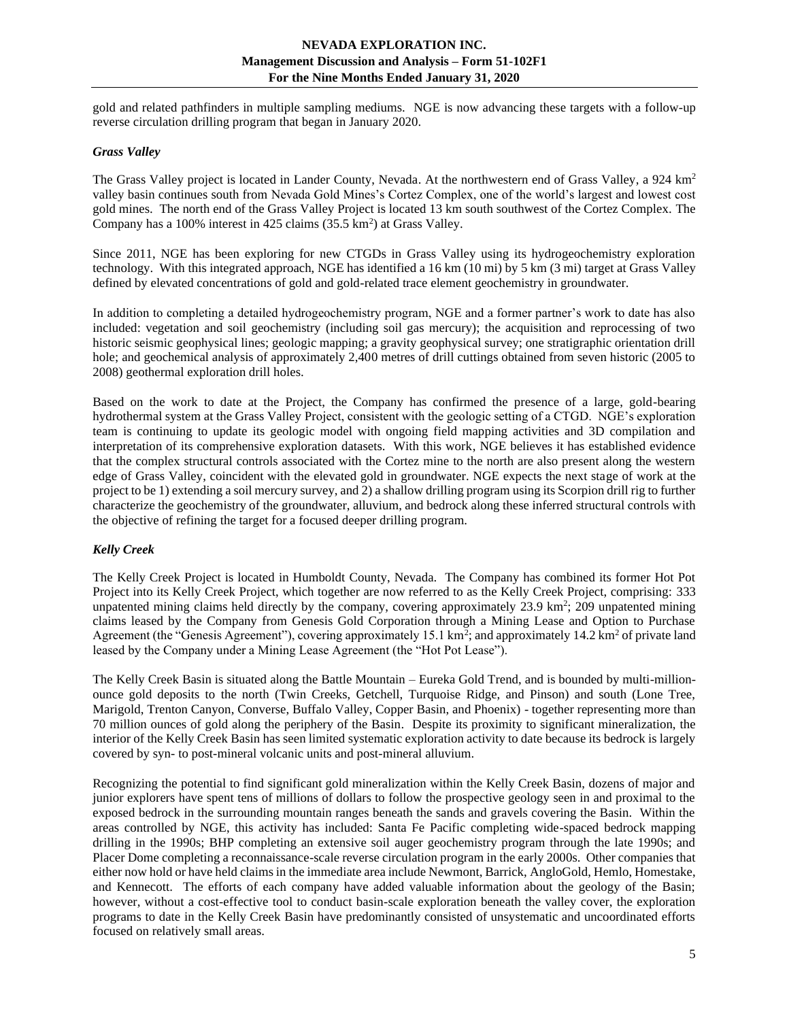gold and related pathfinders in multiple sampling mediums. NGE is now advancing these targets with a follow-up reverse circulation drilling program that began in January 2020.

## <span id="page-4-0"></span>*Grass Valley*

The Grass Valley project is located in Lander County, Nevada. At the northwestern end of Grass Valley, a 924 km<sup>2</sup> valley basin continues south from Nevada Gold Mines's Cortez Complex, one of the world's largest and lowest cost gold mines. The north end of the Grass Valley Project is located 13 km south southwest of the Cortez Complex. The Company has a 100% interest in 425 claims  $(35.5 \text{ km}^2)$  at Grass Valley.

Since 2011, NGE has been exploring for new CTGDs in Grass Valley using its hydrogeochemistry exploration technology. With this integrated approach, NGE has identified a 16 km (10 mi) by 5 km (3 mi) target at Grass Valley defined by elevated concentrations of gold and gold-related trace element geochemistry in groundwater.

In addition to completing a detailed hydrogeochemistry program, NGE and a former partner's work to date has also included: vegetation and soil geochemistry (including soil gas mercury); the acquisition and reprocessing of two historic seismic geophysical lines; geologic mapping; a gravity geophysical survey; one stratigraphic orientation drill hole; and geochemical analysis of approximately 2,400 metres of drill cuttings obtained from seven historic (2005 to 2008) geothermal exploration drill holes.

Based on the work to date at the Project, the Company has confirmed the presence of a large, gold-bearing hydrothermal system at the Grass Valley Project, consistent with the geologic setting of a CTGD. NGE's exploration team is continuing to update its geologic model with ongoing field mapping activities and 3D compilation and interpretation of its comprehensive exploration datasets. With this work, NGE believes it has established evidence that the complex structural controls associated with the Cortez mine to the north are also present along the western edge of Grass Valley, coincident with the elevated gold in groundwater. NGE expects the next stage of work at the project to be 1) extending a soil mercury survey, and 2) a shallow drilling program using its Scorpion drill rig to further characterize the geochemistry of the groundwater, alluvium, and bedrock along these inferred structural controls with the objective of refining the target for a focused deeper drilling program.

## <span id="page-4-1"></span>*Kelly Creek*

The Kelly Creek Project is located in Humboldt County, Nevada. The Company has combined its former Hot Pot Project into its Kelly Creek Project, which together are now referred to as the Kelly Creek Project, comprising: 333 unpatented mining claims held directly by the company, covering approximately  $23.9 \text{ km}^2$ ;  $209 \text{ unpatented mining}$ claims leased by the Company from Genesis Gold Corporation through a Mining Lease and Option to Purchase Agreement (the "Genesis Agreement"), covering approximately 15.1 km<sup>2</sup>; and approximately 14.2 km<sup>2</sup> of private land leased by the Company under a Mining Lease Agreement (the "Hot Pot Lease").

The Kelly Creek Basin is situated along the Battle Mountain – Eureka Gold Trend, and is bounded by multi-millionounce gold deposits to the north (Twin Creeks, Getchell, Turquoise Ridge, and Pinson) and south (Lone Tree, Marigold, Trenton Canyon, Converse, Buffalo Valley, Copper Basin, and Phoenix) - together representing more than 70 million ounces of gold along the periphery of the Basin. Despite its proximity to significant mineralization, the interior of the Kelly Creek Basin has seen limited systematic exploration activity to date because its bedrock is largely covered by syn- to post-mineral volcanic units and post-mineral alluvium.

Recognizing the potential to find significant gold mineralization within the Kelly Creek Basin, dozens of major and junior explorers have spent tens of millions of dollars to follow the prospective geology seen in and proximal to the exposed bedrock in the surrounding mountain ranges beneath the sands and gravels covering the Basin. Within the areas controlled by NGE, this activity has included: Santa Fe Pacific completing wide-spaced bedrock mapping drilling in the 1990s; BHP completing an extensive soil auger geochemistry program through the late 1990s; and Placer Dome completing a reconnaissance-scale reverse circulation program in the early 2000s. Other companies that either now hold or have held claims in the immediate area include Newmont, Barrick, AngloGold, Hemlo, Homestake, and Kennecott. The efforts of each company have added valuable information about the geology of the Basin; however, without a cost-effective tool to conduct basin-scale exploration beneath the valley cover, the exploration programs to date in the Kelly Creek Basin have predominantly consisted of unsystematic and uncoordinated efforts focused on relatively small areas.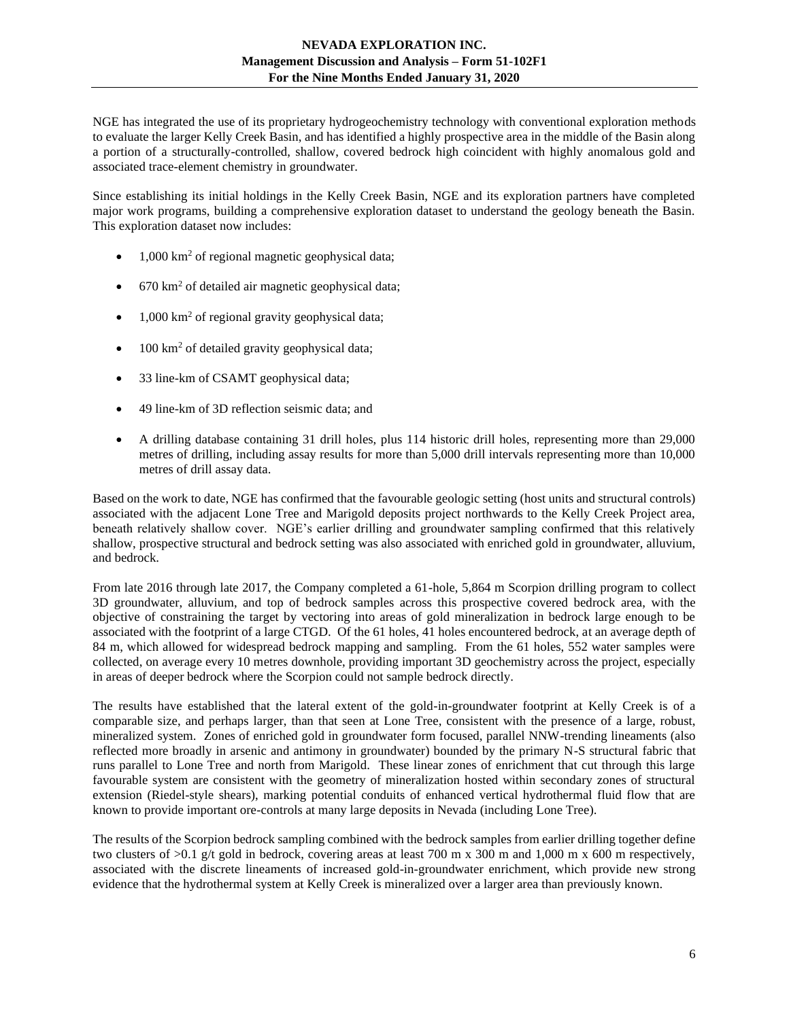NGE has integrated the use of its proprietary hydrogeochemistry technology with conventional exploration methods to evaluate the larger Kelly Creek Basin, and has identified a highly prospective area in the middle of the Basin along a portion of a structurally-controlled, shallow, covered bedrock high coincident with highly anomalous gold and associated trace-element chemistry in groundwater.

Since establishing its initial holdings in the Kelly Creek Basin, NGE and its exploration partners have completed major work programs, building a comprehensive exploration dataset to understand the geology beneath the Basin. This exploration dataset now includes:

- $1,000 \text{ km}^2$  of regional magnetic geophysical data;
- $670 \text{ km}^2$  of detailed air magnetic geophysical data;
- $1,000 \text{ km}^2$  of regional gravity geophysical data;
- $\bullet$  100 km<sup>2</sup> of detailed gravity geophysical data;
- 33 line-km of CSAMT geophysical data;
- 49 line-km of 3D reflection seismic data; and
- A drilling database containing 31 drill holes, plus 114 historic drill holes, representing more than 29,000 metres of drilling, including assay results for more than 5,000 drill intervals representing more than 10,000 metres of drill assay data.

Based on the work to date, NGE has confirmed that the favourable geologic setting (host units and structural controls) associated with the adjacent Lone Tree and Marigold deposits project northwards to the Kelly Creek Project area, beneath relatively shallow cover. NGE's earlier drilling and groundwater sampling confirmed that this relatively shallow, prospective structural and bedrock setting was also associated with enriched gold in groundwater, alluvium, and bedrock.

From late 2016 through late 2017, the Company completed a 61-hole, 5,864 m Scorpion drilling program to collect 3D groundwater, alluvium, and top of bedrock samples across this prospective covered bedrock area, with the objective of constraining the target by vectoring into areas of gold mineralization in bedrock large enough to be associated with the footprint of a large CTGD. Of the 61 holes, 41 holes encountered bedrock, at an average depth of 84 m, which allowed for widespread bedrock mapping and sampling. From the 61 holes, 552 water samples were collected, on average every 10 metres downhole, providing important 3D geochemistry across the project, especially in areas of deeper bedrock where the Scorpion could not sample bedrock directly.

The results have established that the lateral extent of the gold-in-groundwater footprint at Kelly Creek is of a comparable size, and perhaps larger, than that seen at Lone Tree, consistent with the presence of a large, robust, mineralized system. Zones of enriched gold in groundwater form focused, parallel NNW-trending lineaments (also reflected more broadly in arsenic and antimony in groundwater) bounded by the primary N-S structural fabric that runs parallel to Lone Tree and north from Marigold. These linear zones of enrichment that cut through this large favourable system are consistent with the geometry of mineralization hosted within secondary zones of structural extension (Riedel-style shears), marking potential conduits of enhanced vertical hydrothermal fluid flow that are known to provide important ore-controls at many large deposits in Nevada (including Lone Tree).

The results of the Scorpion bedrock sampling combined with the bedrock samples from earlier drilling together define two clusters of >0.1 g/t gold in bedrock, covering areas at least 700 m x 300 m and 1,000 m x 600 m respectively, associated with the discrete lineaments of increased gold-in-groundwater enrichment, which provide new strong evidence that the hydrothermal system at Kelly Creek is mineralized over a larger area than previously known.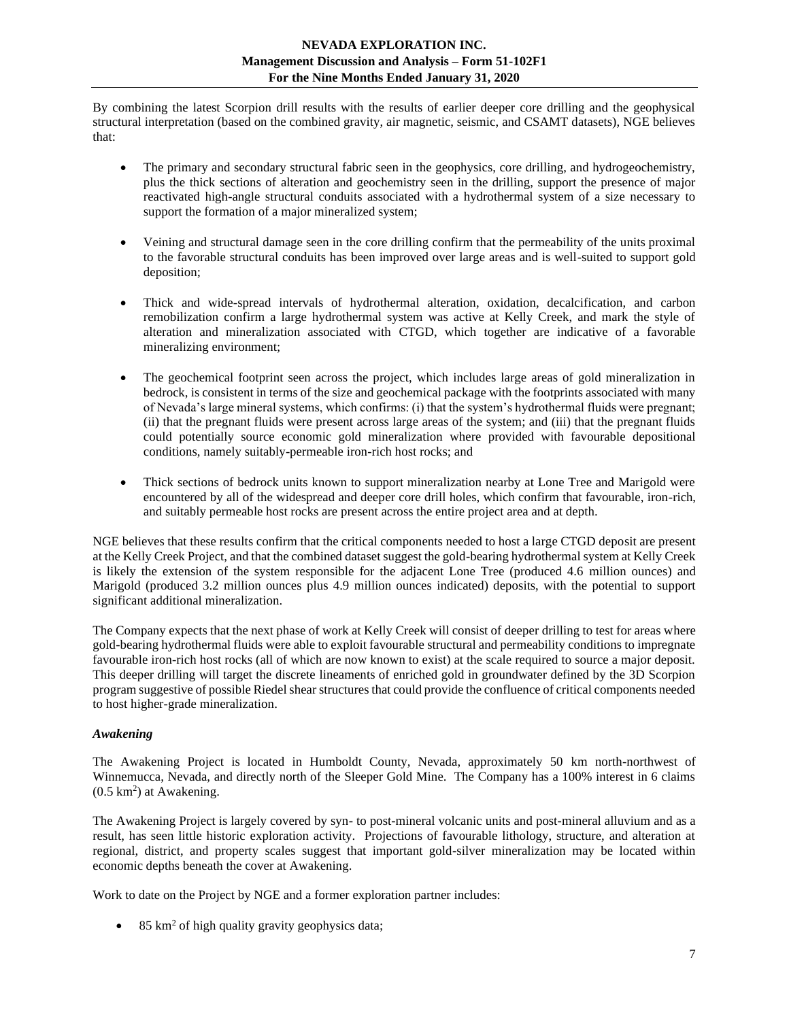By combining the latest Scorpion drill results with the results of earlier deeper core drilling and the geophysical structural interpretation (based on the combined gravity, air magnetic, seismic, and CSAMT datasets), NGE believes that:

- The primary and secondary structural fabric seen in the geophysics, core drilling, and hydrogeochemistry, plus the thick sections of alteration and geochemistry seen in the drilling, support the presence of major reactivated high-angle structural conduits associated with a hydrothermal system of a size necessary to support the formation of a major mineralized system;
- Veining and structural damage seen in the core drilling confirm that the permeability of the units proximal to the favorable structural conduits has been improved over large areas and is well-suited to support gold deposition;
- Thick and wide-spread intervals of hydrothermal alteration, oxidation, decalcification, and carbon remobilization confirm a large hydrothermal system was active at Kelly Creek, and mark the style of alteration and mineralization associated with CTGD, which together are indicative of a favorable mineralizing environment;
- The geochemical footprint seen across the project, which includes large areas of gold mineralization in bedrock, is consistent in terms of the size and geochemical package with the footprints associated with many of Nevada's large mineral systems, which confirms: (i) that the system's hydrothermal fluids were pregnant; (ii) that the pregnant fluids were present across large areas of the system; and (iii) that the pregnant fluids could potentially source economic gold mineralization where provided with favourable depositional conditions, namely suitably-permeable iron-rich host rocks; and
- Thick sections of bedrock units known to support mineralization nearby at Lone Tree and Marigold were encountered by all of the widespread and deeper core drill holes, which confirm that favourable, iron-rich, and suitably permeable host rocks are present across the entire project area and at depth.

NGE believes that these results confirm that the critical components needed to host a large CTGD deposit are present at the Kelly Creek Project, and that the combined dataset suggest the gold-bearing hydrothermal system at Kelly Creek is likely the extension of the system responsible for the adjacent Lone Tree (produced 4.6 million ounces) and Marigold (produced 3.2 million ounces plus 4.9 million ounces indicated) deposits, with the potential to support significant additional mineralization.

The Company expects that the next phase of work at Kelly Creek will consist of deeper drilling to test for areas where gold-bearing hydrothermal fluids were able to exploit favourable structural and permeability conditions to impregnate favourable iron-rich host rocks (all of which are now known to exist) at the scale required to source a major deposit. This deeper drilling will target the discrete lineaments of enriched gold in groundwater defined by the 3D Scorpion program suggestive of possible Riedel shear structures that could provide the confluence of critical components needed to host higher-grade mineralization.

# <span id="page-6-0"></span>*Awakening*

The Awakening Project is located in Humboldt County, Nevada, approximately 50 km north-northwest of Winnemucca, Nevada, and directly north of the Sleeper Gold Mine. The Company has a 100% interest in 6 claims  $(0.5 \text{ km}^2)$  at Awakening.

The Awakening Project is largely covered by syn- to post-mineral volcanic units and post-mineral alluvium and as a result, has seen little historic exploration activity. Projections of favourable lithology, structure, and alteration at regional, district, and property scales suggest that important gold-silver mineralization may be located within economic depths beneath the cover at Awakening.

Work to date on the Project by NGE and a former exploration partner includes:

• 85 km<sup>2</sup> of high quality gravity geophysics data;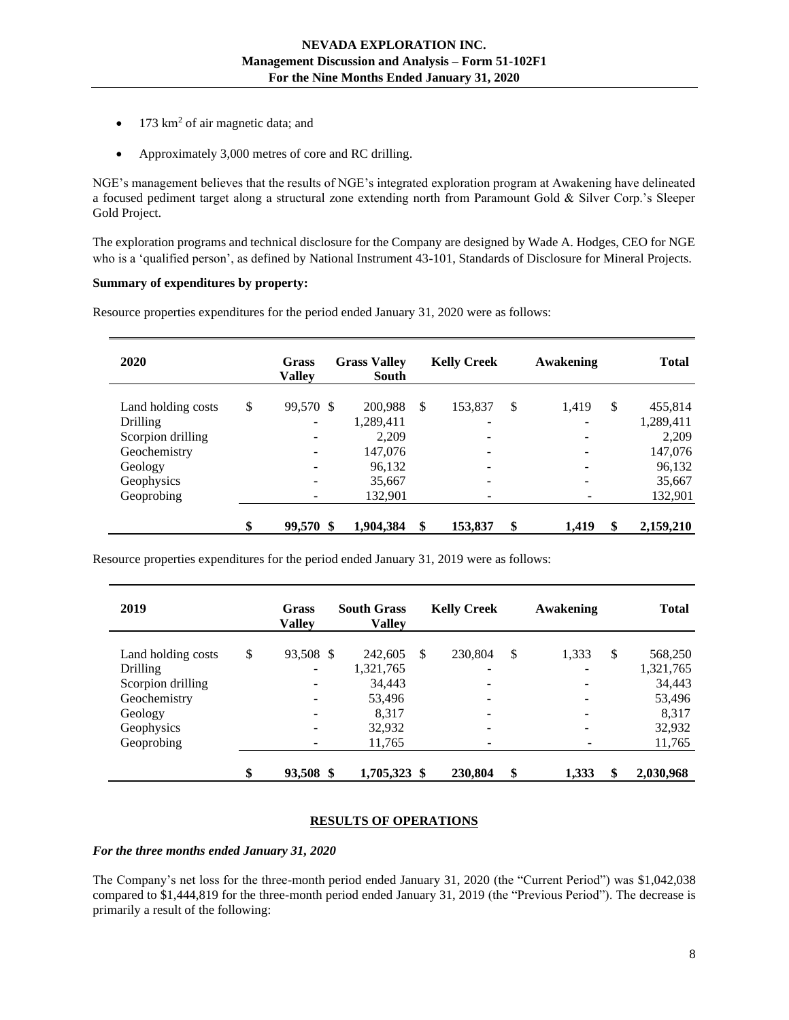- 173 km<sup>2</sup> of air magnetic data; and
- Approximately 3,000 metres of core and RC drilling.

NGE's management believes that the results of NGE's integrated exploration program at Awakening have delineated a focused pediment target along a structural zone extending north from Paramount Gold & Silver Corp.'s Sleeper Gold Project.

The exploration programs and technical disclosure for the Company are designed by Wade A. Hodges, CEO for NGE who is a 'qualified person', as defined by National Instrument 43-101, Standards of Disclosure for Mineral Projects.

## **Summary of expenditures by property:**

| 2020               | <b>Grass</b><br><b>Valley</b> | <b>Grass Valley</b><br>South | <b>Kelly Creek</b>       | Awakening   | <b>Total</b>    |
|--------------------|-------------------------------|------------------------------|--------------------------|-------------|-----------------|
| Land holding costs | \$<br>99,570 \$               | 200,988                      | \$<br>153,837            | \$<br>1,419 | \$<br>455,814   |
| <b>Drilling</b>    | ۰                             | 1,289,411                    | -                        |             | 1,289,411       |
| Scorpion drilling  |                               | 2,209                        | ۰                        |             | 2,209           |
| Geochemistry       |                               | 147,076                      |                          |             | 147,076         |
| Geology            |                               | 96,132                       |                          |             | 96,132          |
| Geophysics         |                               | 35,667                       | $\overline{\phantom{0}}$ |             | 35,667          |
| Geoprobing         |                               | 132.901                      | ۰                        |             | 132,901         |
|                    | \$<br>99,570 \$               | 1,904,384                    | \$<br>153,837            | \$<br>1,419 | \$<br>2,159,210 |

Resource properties expenditures for the period ended January 31, 2020 were as follows:

Resource properties expenditures for the period ended January 31, 2019 were as follows:

| 2019               | Grass<br><b>Valley</b> | <b>South Grass</b><br><b>Valley</b> |              | <b>Kelly Creek</b> | Awakening   | <b>Total</b>    |
|--------------------|------------------------|-------------------------------------|--------------|--------------------|-------------|-----------------|
| Land holding costs | \$<br>93,508 \$        | 242,605                             | $\mathbb{S}$ | 230,804            | \$<br>1,333 | \$<br>568,250   |
| <b>Drilling</b>    | -                      | 1,321,765                           |              | -                  |             | 1,321,765       |
| Scorpion drilling  | ۰                      | 34,443                              |              | -                  |             | 34,443          |
| Geochemistry       | -                      | 53,496                              |              |                    |             | 53,496          |
| Geology            | ۰                      | 8.317                               |              |                    |             | 8.317           |
| Geophysics         |                        | 32,932                              |              |                    |             | 32,932          |
| Geoprobing         | ۰                      | 11,765                              |              | -                  |             | 11,765          |
|                    | \$<br>93,508 \$        | 1,705,323 \$                        |              | 230,804            | \$<br>1,333 | \$<br>2,030,968 |

## **RESULTS OF OPERATIONS**

<span id="page-7-0"></span>*For the three months ended January 31, 2020*

The Company's net loss for the three-month period ended January 31, 2020 (the "Current Period") was \$1,042,038 compared to \$1,444,819 for the three-month period ended January 31, 2019 (the "Previous Period"). The decrease is primarily a result of the following: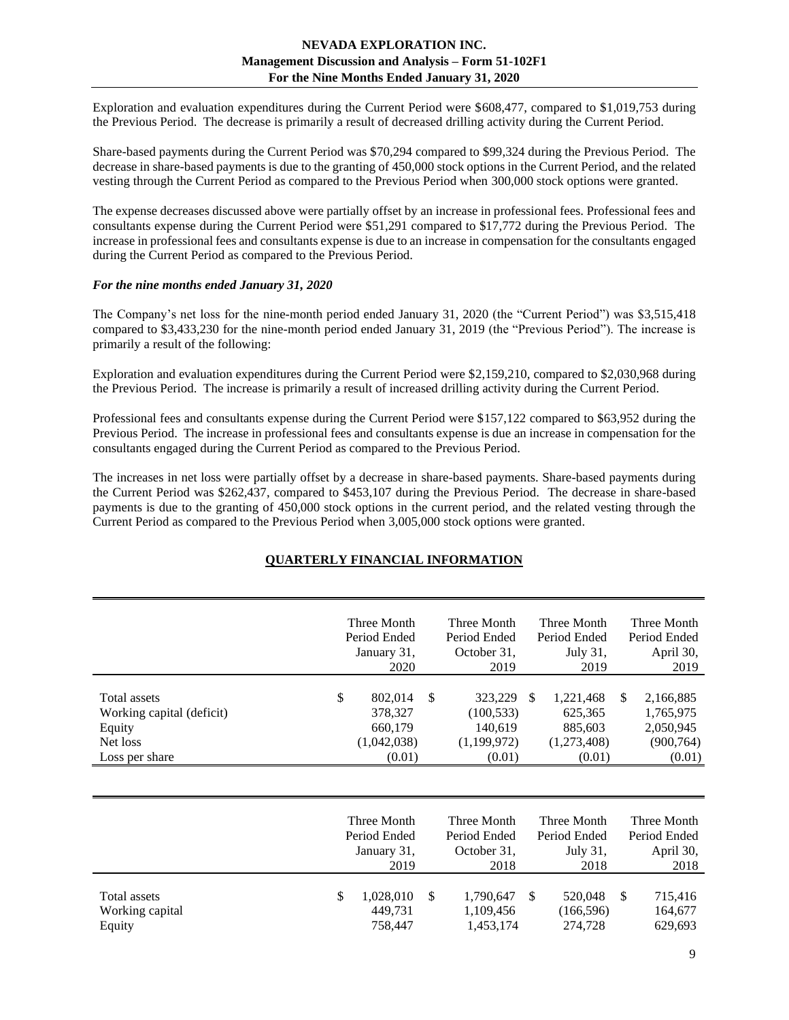Exploration and evaluation expenditures during the Current Period were \$608,477, compared to \$1,019,753 during the Previous Period. The decrease is primarily a result of decreased drilling activity during the Current Period.

Share-based payments during the Current Period was \$70,294 compared to \$99,324 during the Previous Period. The decrease in share-based payments is due to the granting of 450,000 stock options in the Current Period, and the related vesting through the Current Period as compared to the Previous Period when 300,000 stock options were granted.

The expense decreases discussed above were partially offset by an increase in professional fees. Professional fees and consultants expense during the Current Period were \$51,291 compared to \$17,772 during the Previous Period. The increase in professional fees and consultants expense is due to an increase in compensation for the consultants engaged during the Current Period as compared to the Previous Period.

## *For the nine months ended January 31, 2020*

The Company's net loss for the nine-month period ended January 31, 2020 (the "Current Period") was \$3,515,418 compared to \$3,433,230 for the nine-month period ended January 31, 2019 (the "Previous Period"). The increase is primarily a result of the following:

Exploration and evaluation expenditures during the Current Period were \$2,159,210, compared to \$2,030,968 during the Previous Period. The increase is primarily a result of increased drilling activity during the Current Period.

Professional fees and consultants expense during the Current Period were \$157,122 compared to \$63,952 during the Previous Period. The increase in professional fees and consultants expense is due an increase in compensation for the consultants engaged during the Current Period as compared to the Previous Period.

<span id="page-8-0"></span>The increases in net loss were partially offset by a decrease in share-based payments. Share-based payments during the Current Period was \$262,437, compared to \$453,107 during the Previous Period. The decrease in share-based payments is due to the granting of 450,000 stock options in the current period, and the related vesting through the Current Period as compared to the Previous Period when 3,005,000 stock options were granted.

## **QUARTERLY FINANCIAL INFORMATION**

|                                                                                   | Three Month<br>Period Ended<br>January 31,<br>2020           |               | Three Month<br>Period Ended<br>October 31,<br>2019        |               | Three Month<br>Period Ended<br>July 31,<br>2019          |               | Three Month<br>Period Ended<br>April 30,<br>2019            |
|-----------------------------------------------------------------------------------|--------------------------------------------------------------|---------------|-----------------------------------------------------------|---------------|----------------------------------------------------------|---------------|-------------------------------------------------------------|
| Total assets<br>Working capital (deficit)<br>Equity<br>Net loss<br>Loss per share | \$<br>802,014<br>378,327<br>660,179<br>(1,042,038)<br>(0.01) | \$            | 323,229<br>(100, 533)<br>140,619<br>(1,199,972)<br>(0.01) | <sup>\$</sup> | 1,221,468<br>625,365<br>885,603<br>(1,273,408)<br>(0.01) | <sup>\$</sup> | 2,166,885<br>1,765,975<br>2,050,945<br>(900, 764)<br>(0.01) |
|                                                                                   | Three Month<br>Period Ended                                  |               | Three Month<br>Period Ended                               |               | Three Month<br>Period Ended                              |               | Three Month<br>Period Ended                                 |
|                                                                                   | January 31,<br>2019                                          |               | October 31,<br>2018                                       |               | July 31,<br>2018                                         |               | April 30,<br>2018                                           |
| Total assets<br>Working capital<br>Equity                                         | \$<br>1,028,010<br>449,731<br>758,447                        | <sup>\$</sup> | 1,790,647<br>1,109,456<br>1,453,174                       | <sup>\$</sup> | 520,048<br>(166, 596)<br>274,728                         | $\mathbb{S}$  | 715,416<br>164,677<br>629,693                               |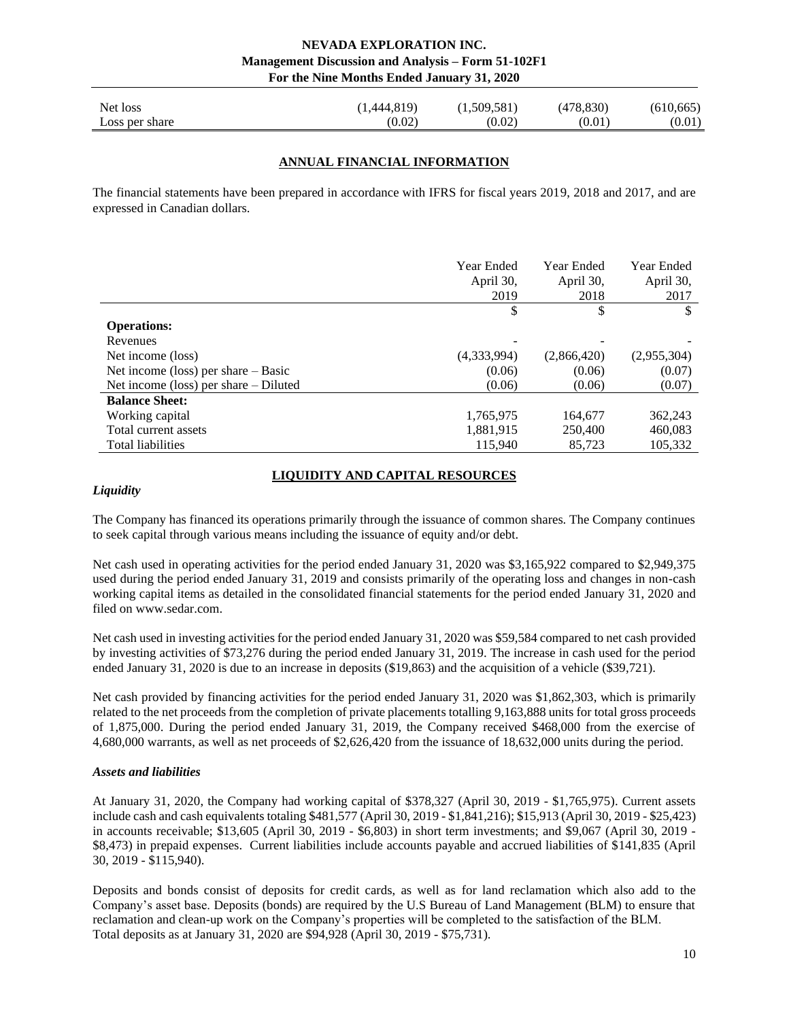<span id="page-9-0"></span>

| Net loss       | 1,444,819) | (1,509,581) | (478, 830) | (610, 665) |
|----------------|------------|-------------|------------|------------|
| Loss per share | (0.02)     | (0.02)      | (0.01      | (0.01)     |

## **ANNUAL FINANCIAL INFORMATION**

The financial statements have been prepared in accordance with IFRS for fiscal years 2019, 2018 and 2017, and are expressed in Canadian dollars.

|                                         | <b>Year Ended</b><br>April 30,<br>2019 | Year Ended<br>April 30,<br>2018 | Year Ended<br>April 30,<br>2017 |
|-----------------------------------------|----------------------------------------|---------------------------------|---------------------------------|
|                                         | \$                                     | \$                              |                                 |
| <b>Operations:</b>                      |                                        |                                 |                                 |
| Revenues                                |                                        |                                 |                                 |
| Net income (loss)                       | (4,333,994)                            | (2,866,420)                     | (2,955,304)                     |
| Net income (loss) per share $-$ Basic   | (0.06)                                 | (0.06)                          | (0.07)                          |
| Net income (loss) per share $-$ Diluted | (0.06)                                 | (0.06)                          | (0.07)                          |
| <b>Balance Sheet:</b>                   |                                        |                                 |                                 |
| Working capital                         | 1,765,975                              | 164,677                         | 362,243                         |
| Total current assets                    | 1,881,915                              | 250,400                         | 460,083                         |
| Total liabilities                       | 115,940                                | 85,723                          | 105,332                         |

## **LIQUIDITY AND CAPITAL RESOURCES**

## <span id="page-9-1"></span>*Liquidity*

The Company has financed its operations primarily through the issuance of common shares. The Company continues to seek capital through various means including the issuance of equity and/or debt.

Net cash used in operating activities for the period ended January 31, 2020 was \$3,165,922 compared to \$2,949,375 used during the period ended January 31, 2019 and consists primarily of the operating loss and changes in non-cash working capital items as detailed in the consolidated financial statements for the period ended January 31, 2020 and filed on www.sedar.com.

Net cash used in investing activities for the period ended January 31, 2020 was \$59,584 compared to net cash provided by investing activities of \$73,276 during the period ended January 31, 2019. The increase in cash used for the period ended January 31, 2020 is due to an increase in deposits (\$19,863) and the acquisition of a vehicle (\$39,721).

Net cash provided by financing activities for the period ended January 31, 2020 was \$1,862,303, which is primarily related to the net proceeds from the completion of private placements totalling 9,163,888 units for total gross proceeds of 1,875,000. During the period ended January 31, 2019, the Company received \$468,000 from the exercise of 4,680,000 warrants, as well as net proceeds of \$2,626,420 from the issuance of 18,632,000 units during the period.

#### *Assets and liabilities*

At January 31, 2020, the Company had working capital of \$378,327 (April 30, 2019 - \$1,765,975). Current assets include cash and cash equivalents totaling \$481,577 (April 30, 2019 - \$1,841,216); \$15,913 (April 30, 2019 - \$25,423) in accounts receivable; \$13,605 (April 30, 2019 - \$6,803) in short term investments; and \$9,067 (April 30, 2019 - \$8,473) in prepaid expenses. Current liabilities include accounts payable and accrued liabilities of \$141,835 (April 30, 2019 - \$115,940).

Deposits and bonds consist of deposits for credit cards, as well as for land reclamation which also add to the Company's asset base. Deposits (bonds) are required by the U.S Bureau of Land Management (BLM) to ensure that reclamation and clean-up work on the Company's properties will be completed to the satisfaction of the BLM. Total deposits as at January 31, 2020 are \$94,928 (April 30, 2019 - \$75,731).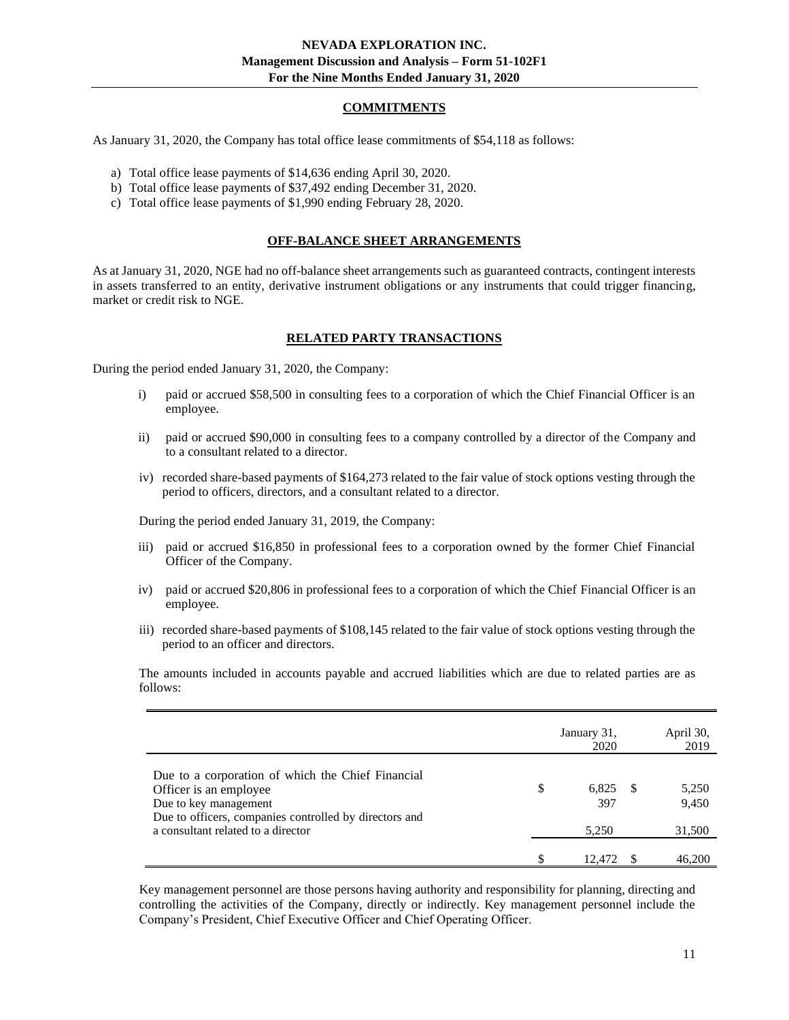## **COMMITMENTS**

<span id="page-10-0"></span>As January 31, 2020, the Company has total office lease commitments of \$54,118 as follows:

- a) Total office lease payments of \$14,636 ending April 30, 2020.
- b) Total office lease payments of \$37,492 ending December 31, 2020.
- <span id="page-10-1"></span>c) Total office lease payments of \$1,990 ending February 28, 2020.

## **OFF-BALANCE SHEET ARRANGEMENTS**

<span id="page-10-2"></span>As at January 31, 2020, NGE had no off-balance sheet arrangements such as guaranteed contracts, contingent interests in assets transferred to an entity, derivative instrument obligations or any instruments that could trigger financing, market or credit risk to NGE.

## **RELATED PARTY TRANSACTIONS**

<span id="page-10-3"></span>During the period ended January 31, 2020, the Company:

- i) paid or accrued \$58,500 in consulting fees to a corporation of which the Chief Financial Officer is an employee.
- ii) paid or accrued \$90,000 in consulting fees to a company controlled by a director of the Company and to a consultant related to a director.
- iv) recorded share-based payments of \$164,273 related to the fair value of stock options vesting through the period to officers, directors, and a consultant related to a director.

During the period ended January 31, 2019, the Company:

- iii) paid or accrued \$16,850 in professional fees to a corporation owned by the former Chief Financial Officer of the Company.
- iv) paid or accrued \$20,806 in professional fees to a corporation of which the Chief Financial Officer is an employee.
- iii) recorded share-based payments of \$108,145 related to the fair value of stock options vesting through the period to an officer and directors.

The amounts included in accounts payable and accrued liabilities which are due to related parties are as follows:

|                                                                                                                                                                | January 31,<br>2020 |    | April 30,<br>2019 |
|----------------------------------------------------------------------------------------------------------------------------------------------------------------|---------------------|----|-------------------|
| Due to a corporation of which the Chief Financial<br>Officer is an employee<br>Due to key management<br>Due to officers, companies controlled by directors and | \$<br>6.825<br>397  | -8 | 5,250<br>9,450    |
| a consultant related to a director                                                                                                                             | 5,250               |    | 31,500            |
|                                                                                                                                                                | 12.472              |    | 46,200            |

Key management personnel are those persons having authority and responsibility for planning, directing and controlling the activities of the Company, directly or indirectly. Key management personnel include the Company's President, Chief Executive Officer and Chief Operating Officer.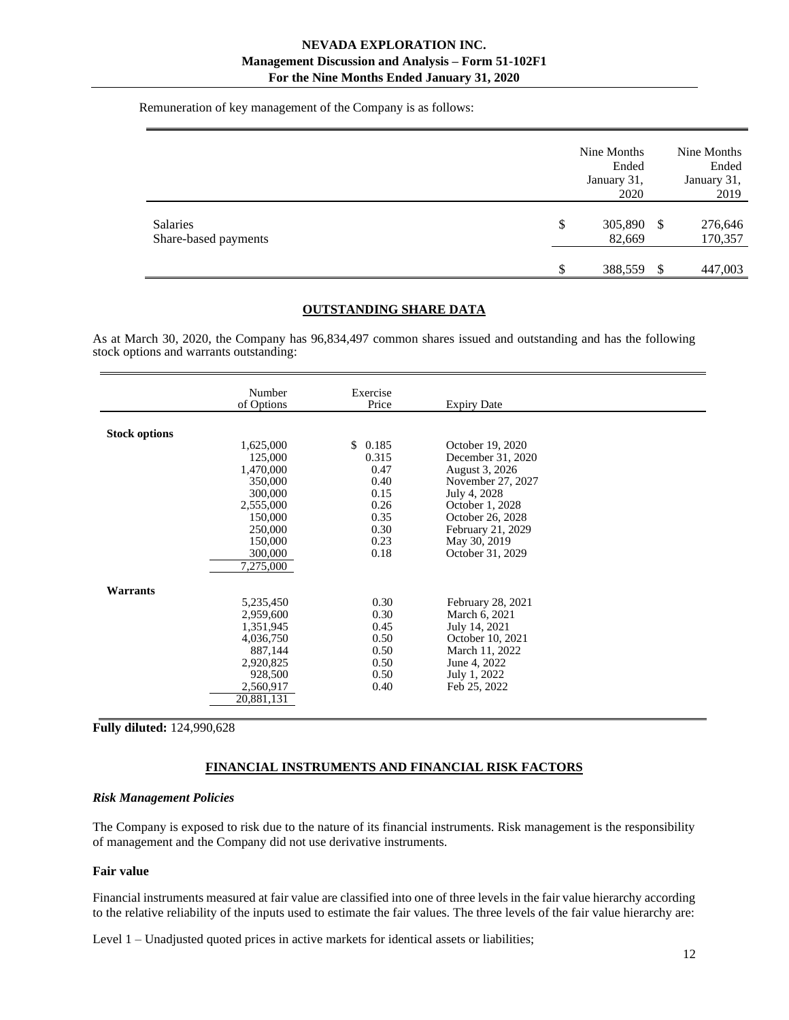Remuneration of key management of the Company is as follows:

|                                  | Nine Months<br>Ended<br>January 31,<br>2020 |   | Nine Months<br>Ended<br>January 31,<br>2019 |
|----------------------------------|---------------------------------------------|---|---------------------------------------------|
| Salaries<br>Share-based payments | \$<br>305,890 \$<br>82,669                  |   | 276,646<br>170,357                          |
|                                  | \$<br>388,559                               | S | 447,003                                     |

#### **OUTSTANDING SHARE DATA**

As at March 30, 2020, the Company has 96,834,497 common shares issued and outstanding and has the following stock options and warrants outstanding:

|                      | Number<br>of Options                                                                                           | Exercise<br>Price                                            | <b>Expiry Date</b>                                                                                                                        |  |
|----------------------|----------------------------------------------------------------------------------------------------------------|--------------------------------------------------------------|-------------------------------------------------------------------------------------------------------------------------------------------|--|
| <b>Stock options</b> | 1,625,000<br>125,000<br>1,470,000<br>350,000<br>300,000<br>2,555,000<br>150,000                                | \$0.185<br>0.315<br>0.47<br>0.40<br>0.15<br>0.26<br>0.35     | October 19, 2020<br>December 31, 2020<br>August 3, 2026<br>November 27, 2027<br>July 4, 2028<br>October 1, 2028<br>October 26, 2028       |  |
|                      | 250,000<br>150,000<br>300,000<br>7,275,000                                                                     | 0.30<br>0.23<br>0.18                                         | February 21, 2029<br>May 30, 2019<br>October 31, 2029                                                                                     |  |
| Warrants             | 5,235,450<br>2,959,600<br>1,351,945<br>4,036,750<br>887,144<br>2,920,825<br>928,500<br>2,560,917<br>20,881,131 | 0.30<br>0.30<br>0.45<br>0.50<br>0.50<br>0.50<br>0.50<br>0.40 | February 28, 2021<br>March 6, 2021<br>July 14, 2021<br>October 10, 2021<br>March 11, 2022<br>June 4, 2022<br>July 1, 2022<br>Feb 25, 2022 |  |

<span id="page-11-0"></span>**Fully diluted:** 124,990,628

## **FINANCIAL INSTRUMENTS AND FINANCIAL RISK FACTORS**

#### *Risk Management Policies*

The Company is exposed to risk due to the nature of its financial instruments. Risk management is the responsibility of management and the Company did not use derivative instruments.

# **Fair value**

Financial instruments measured at fair value are classified into one of three levels in the fair value hierarchy according to the relative reliability of the inputs used to estimate the fair values. The three levels of the fair value hierarchy are:

Level 1 – Unadjusted quoted prices in active markets for identical assets or liabilities;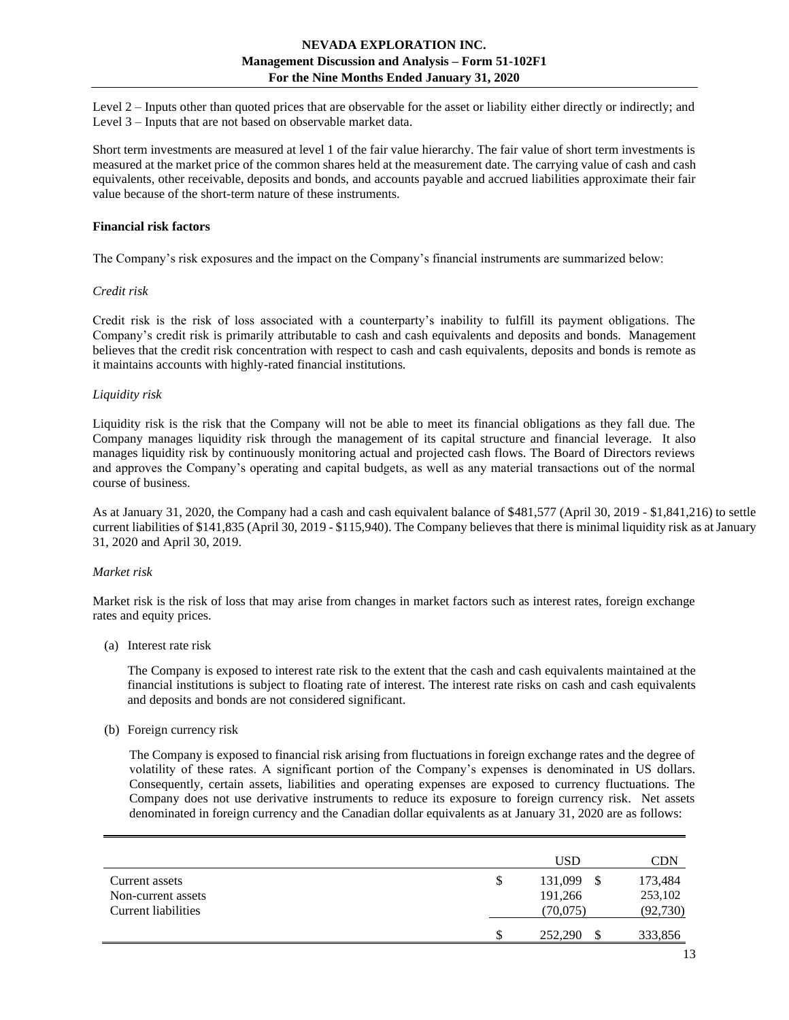Level 2 – Inputs other than quoted prices that are observable for the asset or liability either directly or indirectly; and Level 3 – Inputs that are not based on observable market data.

Short term investments are measured at level 1 of the fair value hierarchy. The fair value of short term investments is measured at the market price of the common shares held at the measurement date. The carrying value of cash and cash equivalents, other receivable, deposits and bonds, and accounts payable and accrued liabilities approximate their fair value because of the short-term nature of these instruments.

## **Financial risk factors**

The Company's risk exposures and the impact on the Company's financial instruments are summarized below:

## *Credit risk*

Credit risk is the risk of loss associated with a counterparty's inability to fulfill its payment obligations. The Company's credit risk is primarily attributable to cash and cash equivalents and deposits and bonds. Management believes that the credit risk concentration with respect to cash and cash equivalents, deposits and bonds is remote as it maintains accounts with highly-rated financial institutions.

## *Liquidity risk*

Liquidity risk is the risk that the Company will not be able to meet its financial obligations as they fall due. The Company manages liquidity risk through the management of its capital structure and financial leverage. It also manages liquidity risk by continuously monitoring actual and projected cash flows. The Board of Directors reviews and approves the Company's operating and capital budgets, as well as any material transactions out of the normal course of business.

As at January 31, 2020, the Company had a cash and cash equivalent balance of \$481,577 (April 30, 2019 - \$1,841,216) to settle current liabilities of \$141,835 (April 30, 2019 - \$115,940). The Company believes that there is minimal liquidity risk as at January 31, 2020 and April 30, 2019.

## *Market risk*

Market risk is the risk of loss that may arise from changes in market factors such as interest rates, foreign exchange rates and equity prices.

(a) Interest rate risk

The Company is exposed to interest rate risk to the extent that the cash and cash equivalents maintained at the financial institutions is subject to floating rate of interest. The interest rate risks on cash and cash equivalents and deposits and bonds are not considered significant.

(b) Foreign currency risk

The Company is exposed to financial risk arising from fluctuations in foreign exchange rates and the degree of volatility of these rates. A significant portion of the Company's expenses is denominated in US dollars. Consequently, certain assets, liabilities and operating expenses are exposed to currency fluctuations. The Company does not use derivative instruments to reduce its exposure to foreign currency risk. Net assets denominated in foreign currency and the Canadian dollar equivalents as at January 31, 2020 are as follows:

|                     |   | <b>USD</b> | CDN       |
|---------------------|---|------------|-----------|
| Current assets      | S | 131,099    | 173,484   |
| Non-current assets  |   | 191,266    | 253,102   |
| Current liabilities |   | (70,075)   | (92, 730) |
|                     |   | 252,290    | 333,856   |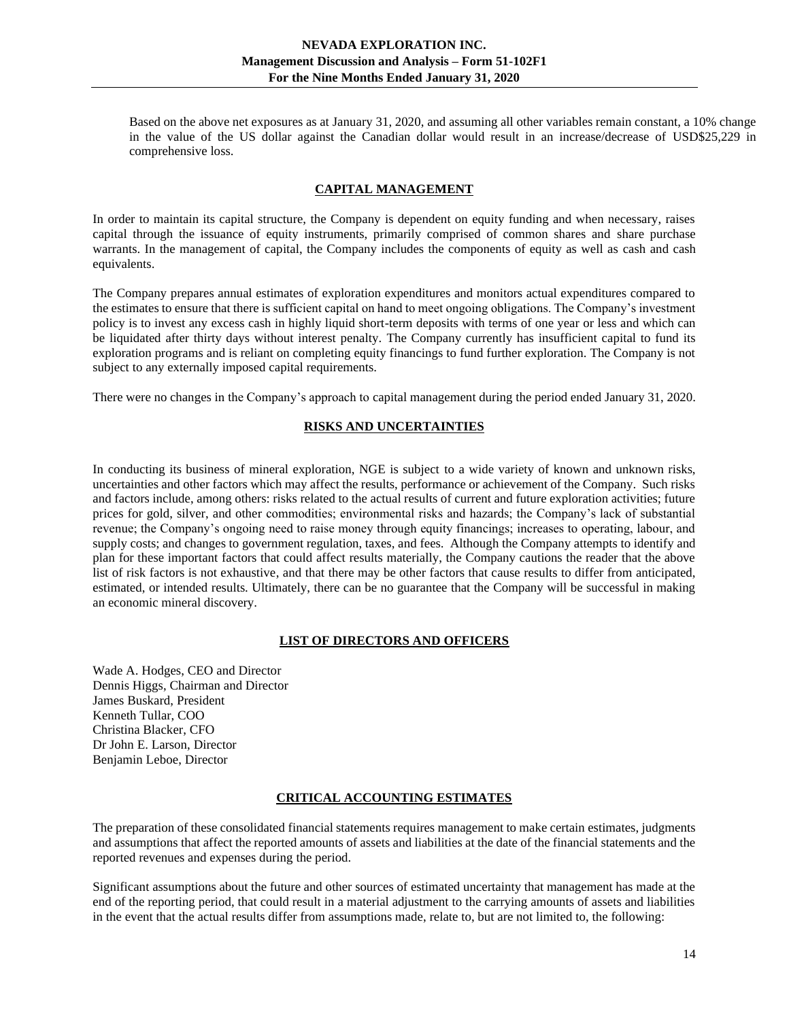Based on the above net exposures as at January 31, 2020, and assuming all other variables remain constant, a 10% change in the value of the US dollar against the Canadian dollar would result in an increase/decrease of USD\$25,229 in comprehensive loss.

## **CAPITAL MANAGEMENT**

<span id="page-13-0"></span>In order to maintain its capital structure, the Company is dependent on equity funding and when necessary, raises capital through the issuance of equity instruments, primarily comprised of common shares and share purchase warrants. In the management of capital, the Company includes the components of equity as well as cash and cash equivalents.

The Company prepares annual estimates of exploration expenditures and monitors actual expenditures compared to the estimates to ensure that there is sufficient capital on hand to meet ongoing obligations. The Company's investment policy is to invest any excess cash in highly liquid short-term deposits with terms of one year or less and which can be liquidated after thirty days without interest penalty. The Company currently has insufficient capital to fund its exploration programs and is reliant on completing equity financings to fund further exploration. The Company is not subject to any externally imposed capital requirements.

<span id="page-13-1"></span>There were no changes in the Company's approach to capital management during the period ended January 31, 2020.

## **RISKS AND UNCERTAINTIES**

In conducting its business of mineral exploration, NGE is subject to a wide variety of known and unknown risks, uncertainties and other factors which may affect the results, performance or achievement of the Company. Such risks and factors include, among others: risks related to the actual results of current and future exploration activities; future prices for gold, silver, and other commodities; environmental risks and hazards; the Company's lack of substantial revenue; the Company's ongoing need to raise money through equity financings; increases to operating, labour, and supply costs; and changes to government regulation, taxes, and fees. Although the Company attempts to identify and plan for these important factors that could affect results materially, the Company cautions the reader that the above list of risk factors is not exhaustive, and that there may be other factors that cause results to differ from anticipated, estimated, or intended results. Ultimately, there can be no guarantee that the Company will be successful in making an economic mineral discovery.

#### **LIST OF DIRECTORS AND OFFICERS**

<span id="page-13-2"></span>Wade A. Hodges, CEO and Director Dennis Higgs, Chairman and Director James Buskard, President Kenneth Tullar, COO Christina Blacker, CFO Dr John E. Larson, Director Benjamin Leboe, Director

## **CRITICAL ACCOUNTING ESTIMATES**

<span id="page-13-3"></span>The preparation of these consolidated financial statements requires management to make certain estimates, judgments and assumptions that affect the reported amounts of assets and liabilities at the date of the financial statements and the reported revenues and expenses during the period.

Significant assumptions about the future and other sources of estimated uncertainty that management has made at the end of the reporting period, that could result in a material adjustment to the carrying amounts of assets and liabilities in the event that the actual results differ from assumptions made, relate to, but are not limited to, the following: